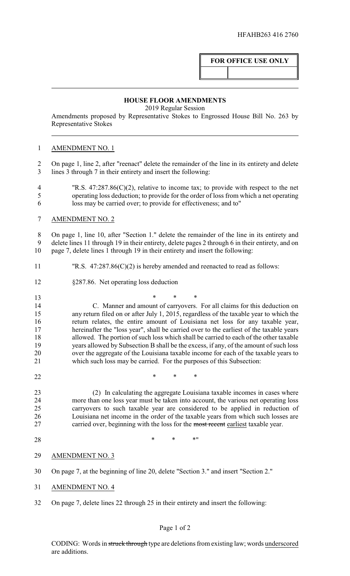# **FOR OFFICE USE ONLY**

#### **HOUSE FLOOR AMENDMENTS**

2019 Regular Session

Amendments proposed by Representative Stokes to Engrossed House Bill No. 263 by Representative Stokes

# AMENDMENT NO. 1

 On page 1, line 2, after "reenact" delete the remainder of the line in its entirety and delete lines 3 through 7 in their entirety and insert the following:

- "R.S. 47:287.86(C)(2), relative to income tax; to provide with respect to the net operating loss deduction; to provide for the order of loss from which a net operating loss may be carried over; to provide for effectiveness; and to"
- AMENDMENT NO. 2

 On page 1, line 10, after "Section 1." delete the remainder of the line in its entirety and delete lines 11 through 19 in their entirety, delete pages 2 through 6 in their entirety, and on page 7, delete lines 1 through 19 in their entirety and insert the following:

- "R.S. 47:287.86(C)(2) is hereby amended and reenacted to read as follows:
- §287.86. Net operating loss deduction
- \* \* \* C. Manner and amount of carryovers. For all claims for this deduction on any return filed on or after July 1, 2015, regardless of the taxable year to which the return relates, the entire amount of Louisiana net loss for any taxable year, hereinafter the "loss year", shall be carried over to the earliest of the taxable years allowed. The portion of such loss which shall be carried to each of the other taxable years allowed by Subsection B shall be the excess, if any, of the amount of such loss over the aggregate of the Louisiana taxable income for each of the taxable years to which such loss may be carried. For the purposes of this Subsection:
- **\*** \* \* \*

 (2) In calculating the aggregate Louisiana taxable incomes in cases where 24 more than one loss year must be taken into account, the various net operating loss<br>25 carryovers to such taxable vear are considered to be applied in reduction of carryovers to such taxable year are considered to be applied in reduction of Louisiana net income in the order of the taxable years from which such losses are 27 carried over, beginning with the loss for the most recent earliest taxable year.

28 \* \* \* \* \* \*

## AMENDMENT NO. 3

- On page 7, at the beginning of line 20, delete "Section 3." and insert "Section 2."
- AMENDMENT NO. 4
- On page 7, delete lines 22 through 25 in their entirety and insert the following:

## Page 1 of 2

CODING: Words in struck through type are deletions from existing law; words underscored are additions.